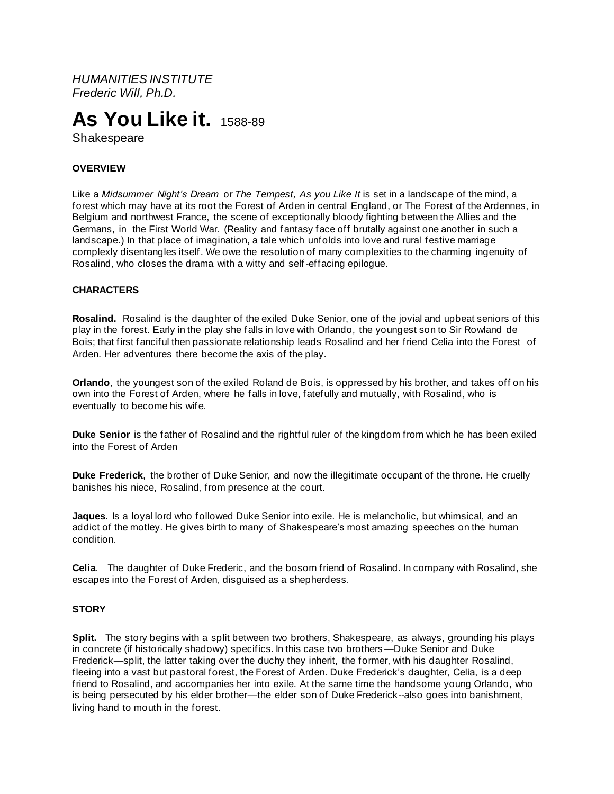*HUMANITIES INSTITUTE Frederic Will, Ph.D.*

# **As You Like it.**1588-89

Shakespeare

## **OVERVIEW**

Like a *Midsummer Night's Dream* or *The Tempest, As you Like It* is set in a landscape of the mind, a forest which may have at its root the Forest of Arden in central England, or The Forest of the Ardennes, in Belgium and northwest France, the scene of exceptionally bloody fighting between the Allies and the Germans, in the First World War. (Reality and fantasy face off brutally against one another in such a landscape.) In that place of imagination, a tale which unfolds into love and rural festive marriage complexly disentangles itself. We owe the resolution of many complexities to the charming ingenuity of Rosalind, who closes the drama with a witty and self-effacing epilogue.

## **CHARACTERS**

**Rosalind.** Rosalind is the daughter of the exiled Duke Senior, one of the jovial and upbeat seniors of this play in the forest. Early in the play she falls in love with Orlando, the youngest son to Sir Rowland de Bois; that first fanciful then passionate relationship leads Rosalind and her friend Celia into the Forest of Arden. Her adventures there become the axis of the play.

**Orlando**, the youngest son of the exiled Roland de Bois, is oppressed by his brother, and takes off on his own into the Forest of Arden, where he falls in love, fatefully and mutually, with Rosalind, who is eventually to become his wife.

**Duke Senior** is the father of Rosalind and the rightful ruler of the kingdom from which he has been exiled into the Forest of Arden

**Duke Frederick**, the brother of Duke Senior, and now the illegitimate occupant of the throne. He cruelly banishes his niece, Rosalind, from presence at the court.

**Jaques**. Is a loyal lord who followed Duke Senior into exile. He is melancholic, but whimsical, and an addict of the motley. He gives birth to many of Shakespeare's most amazing speeches on the human condition.

**Celia**. The daughter of Duke Frederic, and the bosom friend of Rosalind. In company with Rosalind, she escapes into the Forest of Arden, disguised as a shepherdess.

## **STORY**

**Split.** The story begins with a split between two brothers, Shakespeare, as always, grounding his plays in concrete (if historically shadowy) specifics. In this case two brothers—Duke Senior and Duke Frederick—split, the latter taking over the duchy they inherit, the former, with his daughter Rosalind, fleeing into a vast but pastoral forest, the Forest of Arden. Duke Frederick's daughter, Celia, is a deep friend to Rosalind, and accompanies her into exile. At the same time the handsome young Orlando, who is being persecuted by his elder brother—the elder son of Duke Frederick--also goes into banishment, living hand to mouth in the forest.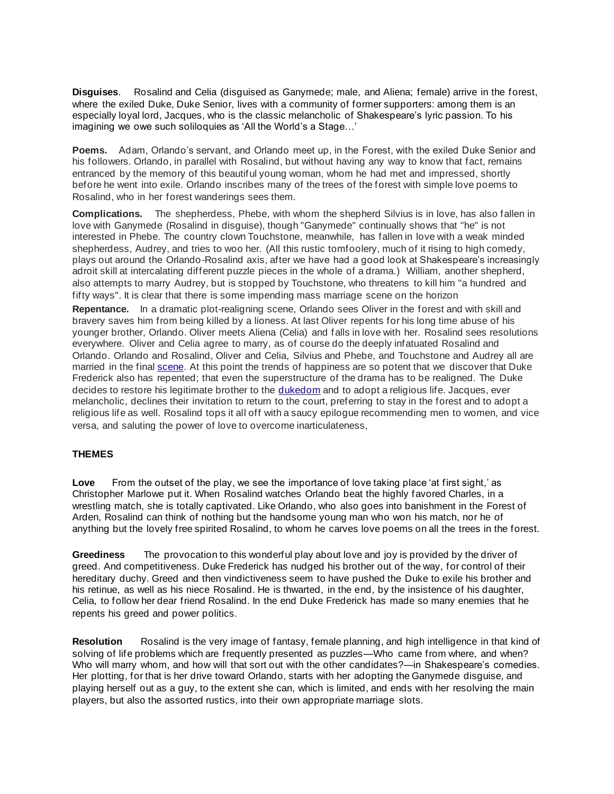**Disguises**. Rosalind and Celia (disguised as Ganymede; male, and Aliena; female) arrive in the forest, where the exiled Duke, Duke Senior, lives with a community of former supporters: among them is an especially loyal lord, Jacques, who is the classic melancholic of Shakespeare's lyric passion. To his imagining we owe such soliloquies as 'All the World's a Stage…'

**Poems.** Adam, Orlando's servant, and Orlando meet up, in the Forest, with the exiled Duke Senior and his followers. Orlando, in parallel with Rosalind, but without having any way to know that fact, remains entranced by the memory of this beautiful young woman, whom he had met and impressed, shortly before he went into exile. Orlando inscribes many of the trees of the forest with simple love poems to Rosalind, who in her forest wanderings sees them.

**Complications.** The shepherdess, Phebe, with whom the shepherd Silvius is in love, has also fallen in love with Ganymede (Rosalind in disguise), though "Ganymede" continually shows that "he" is not interested in Phebe. The country clown Touchstone, meanwhile, has fallen in love with a weak minded shepherdess, Audrey, and tries to woo her. (All this rustic tomfoolery, much of it rising to high comedy, plays out around the Orlando-Rosalind axis, after we have had a good look at Shakespeare's increasingly adroit skill at intercalating different puzzle pieces in the whole of a drama.) William, another shepherd, also attempts to marry Audrey, but is stopped by Touchstone, who threatens to kill him "a hundred and fifty ways". It is clear that there is some impending mass marriage scene on the horizon

**Repentance.** In a dramatic plot-realigning scene, Orlando sees Oliver in the forest and with skill and bravery saves him from being killed by a lioness. At last Oliver repents for his long time abuse of his younger brother, Orlando. Oliver meets Aliena (Celia) and falls in love with her. Rosalind sees resolutions everywhere. Oliver and Celia agree to marry, as of course do the deeply infatuated Rosalind and Orlando. Orlando and Rosalind, Oliver and Celia, Silvius and Phebe, and Touchstone and Audrey all are married in the final [scene.](https://en.wikipedia.org/wiki/Scene_(drama)) At this point the trends of happiness are so potent that we discover that Duke Frederick also has repented; that even the superstructure of the drama has to be realigned. The Duke decides to restore his legitimate brother to the [dukedom](https://en.wikipedia.org/wiki/Duke) and to adopt a religious life. Jacques, ever melancholic, declines their invitation to return to the court, preferring to stay in the forest and to adopt a religious life as well. Rosalind tops it all off with a saucy epilogue recommending men to women, and vice versa, and saluting the power of love to overcome inarticulateness,

## **THEMES**

**Love** From the outset of the play, we see the importance of love taking place 'at first sight,' as Christopher Marlowe put it. When Rosalind watches Orlando beat the highly favored Charles, in a wrestling match, she is totally captivated. Like Orlando, who also goes into banishment in the Forest of Arden, Rosalind can think of nothing but the handsome young man who won his match, nor he of anything but the lovely free spirited Rosalind, to whom he carves love poems on all the trees in the forest.

**Greediness** The provocation to this wonderful play about love and joy is provided by the driver of greed. And competitiveness. Duke Frederick has nudged his brother out of the way, for control of their hereditary duchy. Greed and then vindictiveness seem to have pushed the Duke to exile his brother and his retinue, as well as his niece Rosalind. He is thwarted, in the end, by the insistence of his daughter, Celia, to follow her dear friend Rosalind. In the end Duke Frederick has made so many enemies that he repents his greed and power politics.

**Resolution** Rosalind is the very image of fantasy, female planning, and high intelligence in that kind of solving of life problems which are frequently presented as puzzles—Who came from where, and when? Who will marry whom, and how will that sort out with the other candidates?—in Shakespeare's comedies. Her plotting, for that is her drive toward Orlando, starts with her adopting the Ganymede disguise, and playing herself out as a guy, to the extent she can, which is limited, and ends with her resolving the main players, but also the assorted rustics, into their own appropriate marriage slots.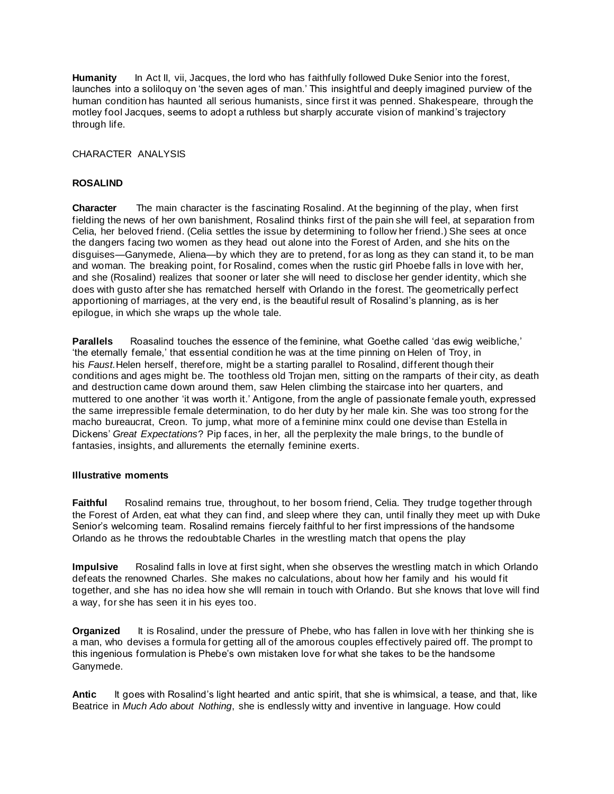**Humanity** In Act II, vii, Jacques, the lord who has faithfully followed Duke Senior into the forest, launches into a soliloquy on 'the seven ages of man.' This insightful and deeply imagined purview of the human condition has haunted all serious humanists, since first it was penned. Shakespeare, through the motley fool Jacques, seems to adopt a ruthless but sharply accurate vision of mankind's trajectory through life.

CHARACTER ANALYSIS

## **ROSALIND**

**Character** The main character is the fascinating Rosalind. At the beginning of the play, when first fielding the news of her own banishment, Rosalind thinks first of the pain she will feel, at separation from Celia, her beloved friend. (Celia settles the issue by determining to follow her friend.) She sees at once the dangers facing two women as they head out alone into the Forest of Arden, and she hits on the disguises—Ganymede, Aliena—by which they are to pretend, for as long as they can stand it, to be man and woman. The breaking point, for Rosalind, comes when the rustic girl Phoebe falls in love with her, and she (Rosalind) realizes that sooner or later she will need to disclose her gender identity, which she does with gusto after she has rematched herself with Orlando in the forest. The geometrically perfect apportioning of marriages, at the very end, is the beautiful result of Rosalind's planning, as is her epilogue, in which she wraps up the whole tale.

**Parallels** Roasalind touches the essence of the feminine, what Goethe called 'das ewig weibliche,' 'the eternally female,' that essential condition he was at the time pinning on Helen of Troy, in his *Faust.*Helen herself, therefore, might be a starting parallel to Rosalind, different though their conditions and ages might be. The toothless old Trojan men, sitting on the ramparts of their city, as death and destruction came down around them, saw Helen climbing the staircase into her quarters, and muttered to one another 'it was worth it.' Antigone, from the angle of passionate female youth, expressed the same irrepressible female determination, to do her duty by her male kin. She was too strong for the macho bureaucrat, Creon. To jump, what more of a feminine minx could one devise than Estella in Dickens' *Great Expectations*? Pip faces, in her, all the perplexity the male brings, to the bundle of fantasies, insights, and allurements the eternally feminine exerts.

## **Illustrative moments**

**Faithful** Rosalind remains true, throughout, to her bosom friend, Celia. They trudge together through the Forest of Arden, eat what they can find, and sleep where they can, until finally they meet up with Duke Senior's welcoming team. Rosalind remains fiercely faithful to her first impressions of the handsome Orlando as he throws the redoubtable Charles in the wrestling match that opens the play

**Impulsive** Rosalind falls in love at first sight, when she observes the wrestling match in which Orlando defeats the renowned Charles. She makes no calculations, about how her family and his would fit together, and she has no idea how she wlll remain in touch with Orlando. But she knows that love will find a way, for she has seen it in his eyes too.

**Organized** It is Rosalind, under the pressure of Phebe, who has fallen in love with her thinking she is a man, who devises a formula for getting all of the amorous couples effectively paired off. The prompt to this ingenious formulation is Phebe's own mistaken love for what she takes to be the handsome Ganymede.

**Antic** It goes with Rosalind's light hearted and antic spirit, that she is whimsical, a tease, and that, like Beatrice in *Much Ado about Nothing*, she is endlessly witty and inventive in language. How could